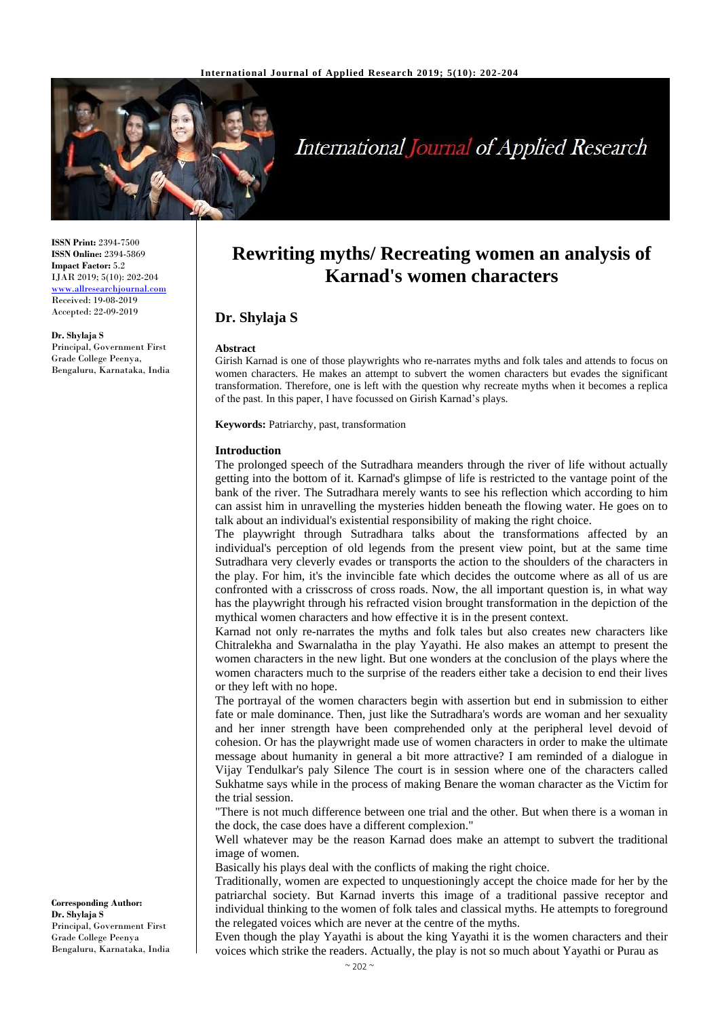

# **International Journal of Applied Research**

**ISSN Print:** 2394-7500 **ISSN Online:** 2394-5869 **Impact Factor:** 5.2 IJAR 2019; 5(10): 202-204 <www.allresearchjournal.com> Received: 19-08-2019 Accepted: 22-09-2019

**Dr. Shylaja S** Principal, Government First Grade College Peenya, Bengaluru, Karnataka, India

## **Rewriting myths/ Recreating women an analysis of Karnad's women characters**

### **Dr. Shylaja S**

#### **Abstract**

Girish Karnad is one of those playwrights who re-narrates myths and folk tales and attends to focus on women characters. He makes an attempt to subvert the women characters but evades the significant transformation. Therefore, one is left with the question why recreate myths when it becomes a replica of the past. In this paper, I have focussed on Girish Karnad's plays.

**Keywords:** Patriarchy, past, transformation

#### **Introduction**

The prolonged speech of the Sutradhara meanders through the river of life without actually getting into the bottom of it. Karnad's glimpse of life is restricted to the vantage point of the bank of the river. The Sutradhara merely wants to see his reflection which according to him can assist him in unravelling the mysteries hidden beneath the flowing water. He goes on to talk about an individual's existential responsibility of making the right choice.

The playwright through Sutradhara talks about the transformations affected by an individual's perception of old legends from the present view point, but at the same time Sutradhara very cleverly evades or transports the action to the shoulders of the characters in the play. For him, it's the invincible fate which decides the outcome where as all of us are confronted with a crisscross of cross roads. Now, the all important question is, in what way has the playwright through his refracted vision brought transformation in the depiction of the mythical women characters and how effective it is in the present context.

Karnad not only re-narrates the myths and folk tales but also creates new characters like Chitralekha and Swarnalatha in the play Yayathi. He also makes an attempt to present the women characters in the new light. But one wonders at the conclusion of the plays where the women characters much to the surprise of the readers either take a decision to end their lives or they left with no hope.

The portrayal of the women characters begin with assertion but end in submission to either fate or male dominance. Then, just like the Sutradhara's words are woman and her sexuality and her inner strength have been comprehended only at the peripheral level devoid of cohesion. Or has the playwright made use of women characters in order to make the ultimate message about humanity in general a bit more attractive? I am reminded of a dialogue in Vijay Tendulkar's paly Silence The court is in session where one of the characters called Sukhatme says while in the process of making Benare the woman character as the Victim for the trial session.

"There is not much difference between one trial and the other. But when there is a woman in the dock, the case does have a different complexion."

Well whatever may be the reason Karnad does make an attempt to subvert the traditional image of women.

Basically his plays deal with the conflicts of making the right choice.

Traditionally, women are expected to unquestioningly accept the choice made for her by the patriarchal society. But Karnad inverts this image of a traditional passive receptor and individual thinking to the women of folk tales and classical myths. He attempts to foreground the relegated voices which are never at the centre of the myths.

Even though the play Yayathi is about the king Yayathi it is the women characters and their voices which strike the readers. Actually, the play is not so much about Yayathi or Purau as

**Corresponding Author: Dr. Shylaja S**  Principal, Government First Grade College Peenya Bengaluru, Karnataka, India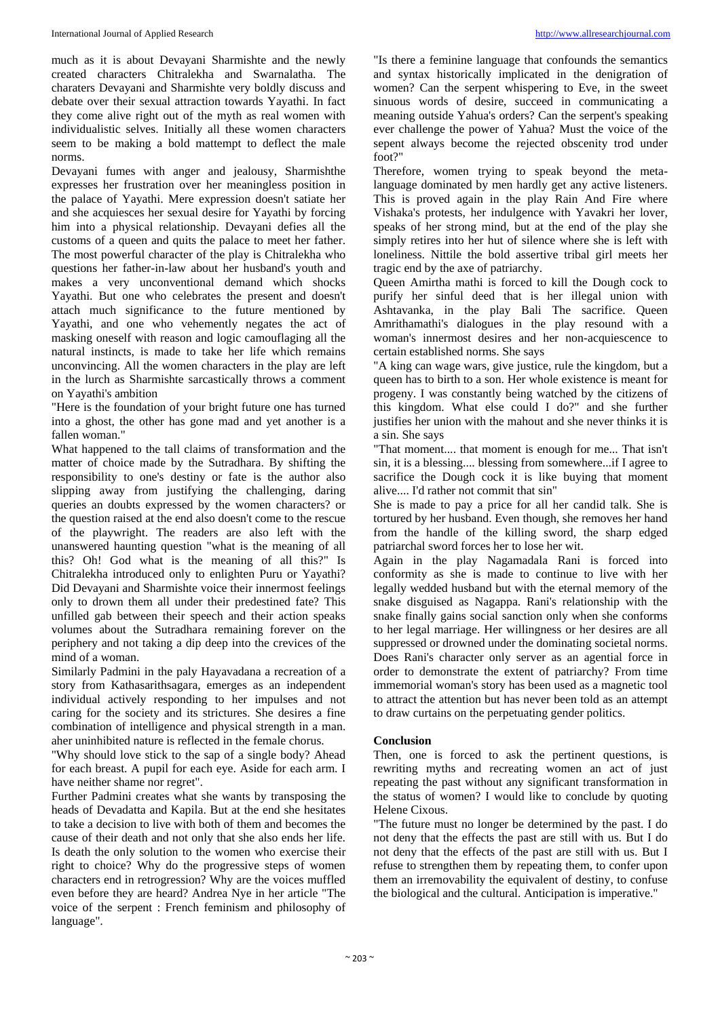much as it is about Devayani Sharmishte and the newly created characters Chitralekha and Swarnalatha. The charaters Devayani and Sharmishte very boldly discuss and debate over their sexual attraction towards Yayathi. In fact they come alive right out of the myth as real women with individualistic selves. Initially all these women characters seem to be making a bold mattempt to deflect the male norms.

Devayani fumes with anger and jealousy, Sharmishthe expresses her frustration over her meaningless position in the palace of Yayathi. Mere expression doesn't satiate her and she acquiesces her sexual desire for Yayathi by forcing him into a physical relationship. Devayani defies all the customs of a queen and quits the palace to meet her father. The most powerful character of the play is Chitralekha who questions her father-in-law about her husband's youth and makes a very unconventional demand which shocks Yayathi. But one who celebrates the present and doesn't attach much significance to the future mentioned by Yayathi, and one who vehemently negates the act of masking oneself with reason and logic camouflaging all the natural instincts, is made to take her life which remains unconvincing. All the women characters in the play are left in the lurch as Sharmishte sarcastically throws a comment on Yayathi's ambition

"Here is the foundation of your bright future one has turned into a ghost, the other has gone mad and yet another is a fallen woman."

What happened to the tall claims of transformation and the matter of choice made by the Sutradhara. By shifting the responsibility to one's destiny or fate is the author also slipping away from justifying the challenging, daring queries an doubts expressed by the women characters? or the question raised at the end also doesn't come to the rescue of the playwright. The readers are also left with the unanswered haunting question "what is the meaning of all this? Oh! God what is the meaning of all this?" Is Chitralekha introduced only to enlighten Puru or Yayathi? Did Devayani and Sharmishte voice their innermost feelings only to drown them all under their predestined fate? This unfilled gab between their speech and their action speaks volumes about the Sutradhara remaining forever on the periphery and not taking a dip deep into the crevices of the mind of a woman.

Similarly Padmini in the paly Hayavadana a recreation of a story from Kathasarithsagara, emerges as an independent individual actively responding to her impulses and not caring for the society and its strictures. She desires a fine combination of intelligence and physical strength in a man. aher uninhibited nature is reflected in the female chorus.

"Why should love stick to the sap of a single body? Ahead for each breast. A pupil for each eye. Aside for each arm. I have neither shame nor regret".

Further Padmini creates what she wants by transposing the heads of Devadatta and Kapila. But at the end she hesitates to take a decision to live with both of them and becomes the cause of their death and not only that she also ends her life. Is death the only solution to the women who exercise their right to choice? Why do the progressive steps of women characters end in retrogression? Why are the voices muffled even before they are heard? Andrea Nye in her article "The voice of the serpent : French feminism and philosophy of language".

"Is there a feminine language that confounds the semantics and syntax historically implicated in the denigration of women? Can the serpent whispering to Eve, in the sweet sinuous words of desire, succeed in communicating a meaning outside Yahua's orders? Can the serpent's speaking ever challenge the power of Yahua? Must the voice of the sepent always become the rejected obscenity trod under foot?"

Therefore, women trying to speak beyond the metalanguage dominated by men hardly get any active listeners. This is proved again in the play Rain And Fire where Vishaka's protests, her indulgence with Yavakri her lover, speaks of her strong mind, but at the end of the play she simply retires into her hut of silence where she is left with loneliness. Nittile the bold assertive tribal girl meets her tragic end by the axe of patriarchy.

Queen Amirtha mathi is forced to kill the Dough cock to purify her sinful deed that is her illegal union with Ashtavanka, in the play Bali The sacrifice. Queen Amrithamathi's dialogues in the play resound with a woman's innermost desires and her non-acquiescence to certain established norms. She says

"A king can wage wars, give justice, rule the kingdom, but a queen has to birth to a son. Her whole existence is meant for progeny. I was constantly being watched by the citizens of this kingdom. What else could I do?" and she further justifies her union with the mahout and she never thinks it is a sin. She says

"That moment.... that moment is enough for me... That isn't sin, it is a blessing.... blessing from somewhere...if I agree to sacrifice the Dough cock it is like buying that moment alive.... I'd rather not commit that sin"

She is made to pay a price for all her candid talk. She is tortured by her husband. Even though, she removes her hand from the handle of the killing sword, the sharp edged patriarchal sword forces her to lose her wit.

Again in the play Nagamadala Rani is forced into conformity as she is made to continue to live with her legally wedded husband but with the eternal memory of the snake disguised as Nagappa. Rani's relationship with the snake finally gains social sanction only when she conforms to her legal marriage. Her willingness or her desires are all suppressed or drowned under the dominating societal norms. Does Rani's character only server as an agential force in order to demonstrate the extent of patriarchy? From time immemorial woman's story has been used as a magnetic tool to attract the attention but has never been told as an attempt to draw curtains on the perpetuating gender politics.

#### **Conclusion**

Then, one is forced to ask the pertinent questions, is rewriting myths and recreating women an act of just repeating the past without any significant transformation in the status of women? I would like to conclude by quoting Helene Cixous.

"The future must no longer be determined by the past. I do not deny that the effects the past are still with us. But I do not deny that the effects of the past are still with us. But I refuse to strengthen them by repeating them, to confer upon them an irremovability the equivalent of destiny, to confuse the biological and the cultural. Anticipation is imperative."